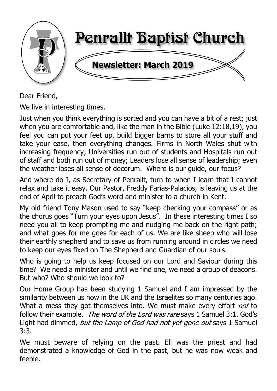

Dear Friend,

We live in interesting times.

Just when you think everything is sorted and you can have a bit of a rest; just when you are comfortable and, like the man in the Bible (Luke 12:18,19), you feel you can put your feet up, build bigger barns to store all your stuff and take your ease, then everything changes. Firms in North Wales shut with increasing frequency; Universities run out of students and Hospitals run out of staff and both run out of money; Leaders lose all sense of leadership; even the weather loses all sense of decorum. Where is our guide, our focus?

And where do I, as Secretary of Penrallt, turn to when I learn that I cannot relax and take it easy. Our Pastor, Freddy Farias-Palacios, is leaving us at the end of April to preach God's word and minister to a church in Kent.

My old friend Tony Mason used to say "keep checking your compass" or as the chorus goes "Turn your eyes upon Jesus". In these interesting times I so need you all to keep prompting me and nudging me back on the right path; and what goes for me goes for each of us. We are like sheep who will lose their earthly shepherd and to save us from running around in circles we need to keep our eyes fixed on The Shepherd and Guardian of our souls.

Who is going to help us keep focused on our Lord and Saviour during this time? We need a minister and until we find one, we need a group of deacons. But who? Who should we look to?

Our Home Group has been studying 1 Samuel and I am impressed by the similarity between us now in the UK and the Israelites so many centuries ago. What a mess they got themselves into. We must make every effort not to follow their example. The word of the Lord was rare says 1 Samuel 3:1. God's Light had dimmed, but the Lamp of God had not yet gone out says 1 Samuel 3:3.

We must beware of relying on the past. Eli was the priest and had demonstrated a knowledge of God in the past, but he was now weak and feeble.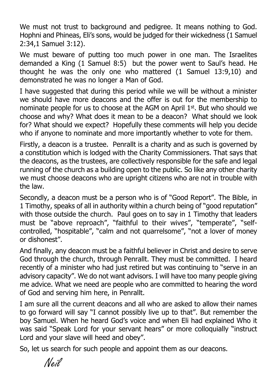We must not trust to background and pedigree. It means nothing to God. Hophni and Phineas, Eli's sons, would be judged for their wickedness (1 Samuel 2:34,1 Samuel 3:12).

We must beware of putting too much power in one man. The Israelites demanded a King (1 Samuel 8:5) but the power went to Saul's head. He thought he was the only one who mattered (1 Samuel 13:9,10) and demonstrated he was no longer a Man of God.

I have suggested that during this period while we will be without a minister we should have more deacons and the offer is out for the membership to nominate people for us to choose at the AGM on April 1st. But who should we choose and why? What does it mean to be a deacon? What should we look for? What should we expect? Hopefully these comments will help you decide who if anyone to nominate and more importantly whether to vote for them.

Firstly, a deacon is a trustee. Penrallt is a charity and as such is governed by a constitution which is lodged with the Charity Commissioners. That says that the deacons, as the trustees, are collectively responsible for the safe and legal running of the church as a building open to the public. So like any other charity we must choose deacons who are upright citizens who are not in trouble with the law.

Secondly, a deacon must be a person who is of "Good Report". The Bible, in 1 Timothy, speaks of all in authority within a church being of "good reputation" with those outside the church. Paul goes on to say in 1 Timothy that leaders must be "above reproach", "faithful to their wives", "temperate", "selfcontrolled, "hospitable", "calm and not quarrelsome", "not a lover of money or dishonest".

And finally, any deacon must be a faithful believer in Christ and desire to serve God through the church, through Penrallt. They must be committed. I heard recently of a minister who had just retired but was continuing to "serve in an advisory capacity". We do not want advisors. I will have too many people giving me advice. What we need are people who are committed to hearing the word of God and serving him here, in Penrallt.

I am sure all the current deacons and all who are asked to allow their names to go forward will say "I cannot possibly live up to that". But remember the boy Samuel. When he heard God's voice and when Eli had explained Who it was said "Speak Lord for your servant hears" or more colloquially "instruct Lord and your slave will heed and obey".

So, let us search for such people and appoint them as our deacons.

Neil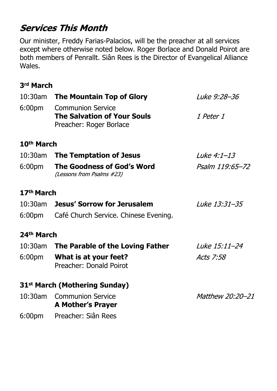# **Services This Month**

Our minister, Freddy Farias-Palacios, will be the preacher at all services except where otherwise noted below. Roger Borlace and Donald Poirot are both members of Penrallt. Siân Rees is the Director of Evangelical Alliance Wales.

## **3rd March**

| 10:30am                | <b>The Mountain Top of Glory</b>                                                          | Luke 9:28-36<br><i>1 Peter 1</i> |  |
|------------------------|-------------------------------------------------------------------------------------------|----------------------------------|--|
| 6:00 <sub>pm</sub>     | <b>Communion Service</b><br><b>The Salvation of Your Souls</b><br>Preacher: Roger Borlace |                                  |  |
| 10 <sup>th</sup> March |                                                                                           |                                  |  |
|                        | 10:30am The Temptation of Jesus                                                           | <i>Luke 4:1-13</i>               |  |
| 6:00pm                 | The Goodness of God's Word<br>(Lessons from Psalms #23)                                   | Psalm 119:65-72                  |  |
| 17 <sup>th</sup> March |                                                                                           |                                  |  |
|                        | 10:30am Jesus' Sorrow for Jerusalem                                                       | Luke 13:31-35                    |  |
|                        | 6:00pm Café Church Service. Chinese Evening.                                              |                                  |  |
| 24 <sup>th</sup> March |                                                                                           |                                  |  |
|                        | 10:30am The Parable of the Loving Father                                                  | Luke 15:11-24                    |  |
|                        | 6:00pm What is at your feet?<br>Preacher: Donald Poirot                                   | Acts 7:58                        |  |
|                        | 31 <sup>st</sup> March (Mothering Sunday)                                                 |                                  |  |
| $10:30$ am             | Matthew 20:20-21<br><b>Communion Service</b><br><b>A Mother's Prayer</b>                  |                                  |  |
| 6:00pm                 | Preacher: Siân Rees                                                                       |                                  |  |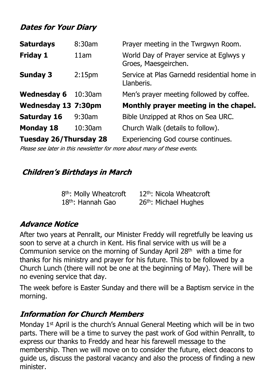# **Dates for Your Diary**

| <b>Saturdays</b>              | 8:30am             | Prayer meeting in the Twrgwyn Room.                             |
|-------------------------------|--------------------|-----------------------------------------------------------------|
| <b>Friday 1</b>               | 11am               | World Day of Prayer service at Eglwys y<br>Groes, Maesgeirchen. |
| <b>Sunday 3</b>               | 2:15 <sub>pm</sub> | Service at Plas Garnedd residential home in<br>Llanberis.       |
| <b>Wednesday 6</b>            | $10:30$ am         | Men's prayer meeting followed by coffee.                        |
| <b>Wednesday 13 7:30pm</b>    |                    | Monthly prayer meeting in the chapel.                           |
| <b>Saturday 16</b>            | $9:30$ am          | Bible Unzipped at Rhos on Sea URC.                              |
| <b>Monday 18</b>              | 10:30am            | Church Walk (details to follow).                                |
| <b>Tuesday 26/Thursday 28</b> |                    | <b>Experiencing God course continues.</b>                       |

Please see later in this newsletter for more about many of these events.

## **Children's Birthdays in March**

| 8 <sup>th</sup> : Molly Wheatcroft | 12 <sup>th</sup> : Nicola Wheatcroft |
|------------------------------------|--------------------------------------|
| $18th$ : Hannah Gao                | 26 <sup>th</sup> : Michael Hughes    |

## **Advance Notice**

After two years at Penrallt, our Minister Freddy will regretfully be leaving us soon to serve at a church in Kent. His final service with us will be a Communion service on the morning of Sunday April 28th with a time for thanks for his ministry and prayer for his future. This to be followed by a Church Lunch (there will not be one at the beginning of May). There will be no evening service that day.

The week before is Easter Sunday and there will be a Baptism service in the morning.

## **Information for Church Members**

Monday 1st April is the church's Annual General Meeting which will be in two parts. There will be a time to survey the past work of God within Penrallt, to express our thanks to Freddy and hear his farewell message to the membership. Then we will move on to consider the future, elect deacons to guide us, discuss the pastoral vacancy and also the process of finding a new minister.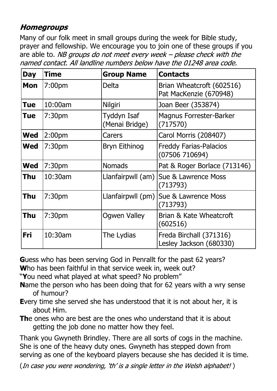# **Homegroups**

Many of our folk meet in small groups during the week for Bible study, prayer and fellowship. We encourage you to join one of these groups if you are able to. NB groups do not meet every week  $-$  please check with the named contact. All landline numbers below have the 01248 area code.

| <b>Day</b> | <b>Time</b>        | <b>Group Name</b>             | <b>Contacts</b>                                     |
|------------|--------------------|-------------------------------|-----------------------------------------------------|
| <b>Mon</b> | 7:00 <sub>pm</sub> | <b>Delta</b>                  | Brian Wheatcroft (602516)<br>Pat MacKenzie (670948) |
| Tue        | 10:00am            | <b>Nilgiri</b>                | Joan Beer (353874)                                  |
| <b>Tue</b> | 7:30 <sub>pm</sub> | Tyddyn Isaf<br>(Menai Bridge) | <b>Magnus Forrester-Barker</b><br>(717570)          |
| <b>Wed</b> | 2:00 <sub>pm</sub> | Carers                        | Carol Morris (208407)                               |
| <b>Wed</b> | 7:30 <sub>pm</sub> | <b>Bryn Eithinog</b>          | <b>Freddy Farias-Palacios</b><br>(07506710694)      |
| <b>Wed</b> | 7:30 <sub>pm</sub> | <b>Nomads</b>                 | Pat & Roger Borlace (713146)                        |
| Thu        | 10:30am            | Llanfairpwll (am)             | Sue & Lawrence Moss<br>(713793)                     |
| Thu        | 7:30 <sub>pm</sub> | Llanfairpwll (pm)             | Sue & Lawrence Moss<br>(713793)                     |
| Thu        | 7:30 <sub>pm</sub> | <b>Ogwen Valley</b>           | Brian & Kate Wheatcroft<br>(602516)                 |
| Fri        | 10:30am            | The Lydias                    | Freda Birchall (371316)<br>Lesley Jackson (680330)  |

**G**uess who has been serving God in Penrallt for the past 62 years? **W**ho has been faithful in that service week in, week out?

"**Y**ou need what played at what speed? No problem"

- **N**ame the person who has been doing that for 62 years with a wry sense of humour?
- **E**very time she served she has understood that it is not about her, it is about Him.
- **Th**e ones who are best are the ones who understand that it is about getting the job done no matter how they feel.

Thank you Gwyneth Brindley. There are all sorts of cogs in the machine. She is one of the heavy duty ones. Gwyneth has stepped down from serving as one of the keyboard players because she has decided it is time.

(In case you were wondering, 'th' is a single letter in the Welsh alphabet!)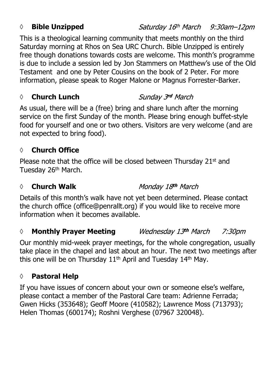### *◊* **Bible Unzipped**

Saturday 16th March 9:30am-12pm

This is a theological learning community that meets monthly on the third Saturday morning at Rhos on Sea URC Church. Bible Unzipped is entirely free though donations towards costs are welcome. This month's programme is due to include a session led by Jon Stammers on Matthew's use of the Old Testament and one by Peter Cousins on the book of 2 Peter. For more information, please speak to Roger Malone or Magnus Forrester-Barker.

# *◊* **Church Lunch**

As usual, there will be a (free) bring and share lunch after the morning service on the first Sunday of the month. Please bring enough buffet-style food for yourself and one or two others. Visitors are very welcome (and are not expected to bring food).

## **◊ Church Office**

Please note that the office will be closed between Thursday 21st and Tuesday 26<sup>th</sup> March.

### *◊* **Church Walk**

Monday 18th March

Details of this month's walk have not yet been determined. Please contact the church office (office@penrallt.org) if you would like to receive more information when it becomes available.

#### *◊* **Monthly Prayer Meeting** Wednesday 13th March 7:30pm

Our monthly mid-week prayer meetings, for the whole congregation, usually take place in the chapel and last about an hour. The next two meetings after this one will be on Thursday 11<sup>th</sup> April and Tuesday 14<sup>th</sup> May.

### **◊ Pastoral Help**

If you have issues of concern about your own or someone else's welfare, please contact a member of the Pastoral Care team: Adrienne Ferrada; Gwen Hicks (353648); Geoff Moore (410582); Lawrence Moss (713793); Helen Thomas (600174); Roshni Verghese (07967 320048).

### Sunday 3rd March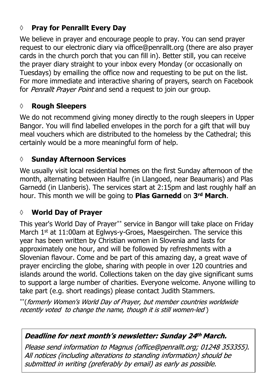# **◊ Pray for Penrallt Every Day**

We believe in prayer and encourage people to pray. You can send prayer request to our electronic diary via office@penrallt.org (there are also prayer cards in the church porch that you can fill in). Better still, you can receive the prayer diary straight to your inbox every Monday (or occasionally on Tuesdays) by emailing the office now and requesting to be put on the list. For more immediate and interactive sharing of prayers, search on Facebook for Penrallt Prayer Point and send a request to join our group.

## **◊ Rough Sleepers**

We do not recommend giving money directly to the rough sleepers in Upper Bangor. You will find labelled envelopes in the porch for a gift that will buy meal vouchers which are distributed to the homeless by the Cathedral; this certainly would be a more meaningful form of help.

## **◊ Sunday Afternoon Services**

We usually visit local residential homes on the first Sunday afternoon of the month, alternating between Haulfre (in Llangoed, near Beaumaris) and Plas Garnedd (in Llanberis). The services start at 2:15pm and last roughly half an hour. This month we will be going to **Plas Garnedd** on **3rd March**.

## **◊ World Day of Prayer**

This year's World Day of Prayer\*\* service in Bangor will take place on Friday March 1<sup>st</sup> at 11:00am at Eglwys-y-Groes, Maesgeirchen. The service this year has been written by Christian women in Slovenia and lasts for approximately one hour, and will be followed by refreshments with a Slovenian flavour. Come and be part of this amazing day, a great wave of prayer encircling the globe, sharing with people in over 120 countries and islands around the world. Collections taken on the day give significant sums to support a large number of charities. Everyone welcome. Anyone willing to take part (e.g. short readings) please contact Judith Stammers.

\*\* (formerly Women's World Day of Prayer, but member countries worldwide recently voted to change the name, though it is still women-led)

### Deadline for next month's newsletter: Sunday 24th March.

Please send information to Magnus (office@penrallt.org; 01248 353355). All notices (including alterations to standing information) should be submitted in writing (preferably by email) as early as possible.